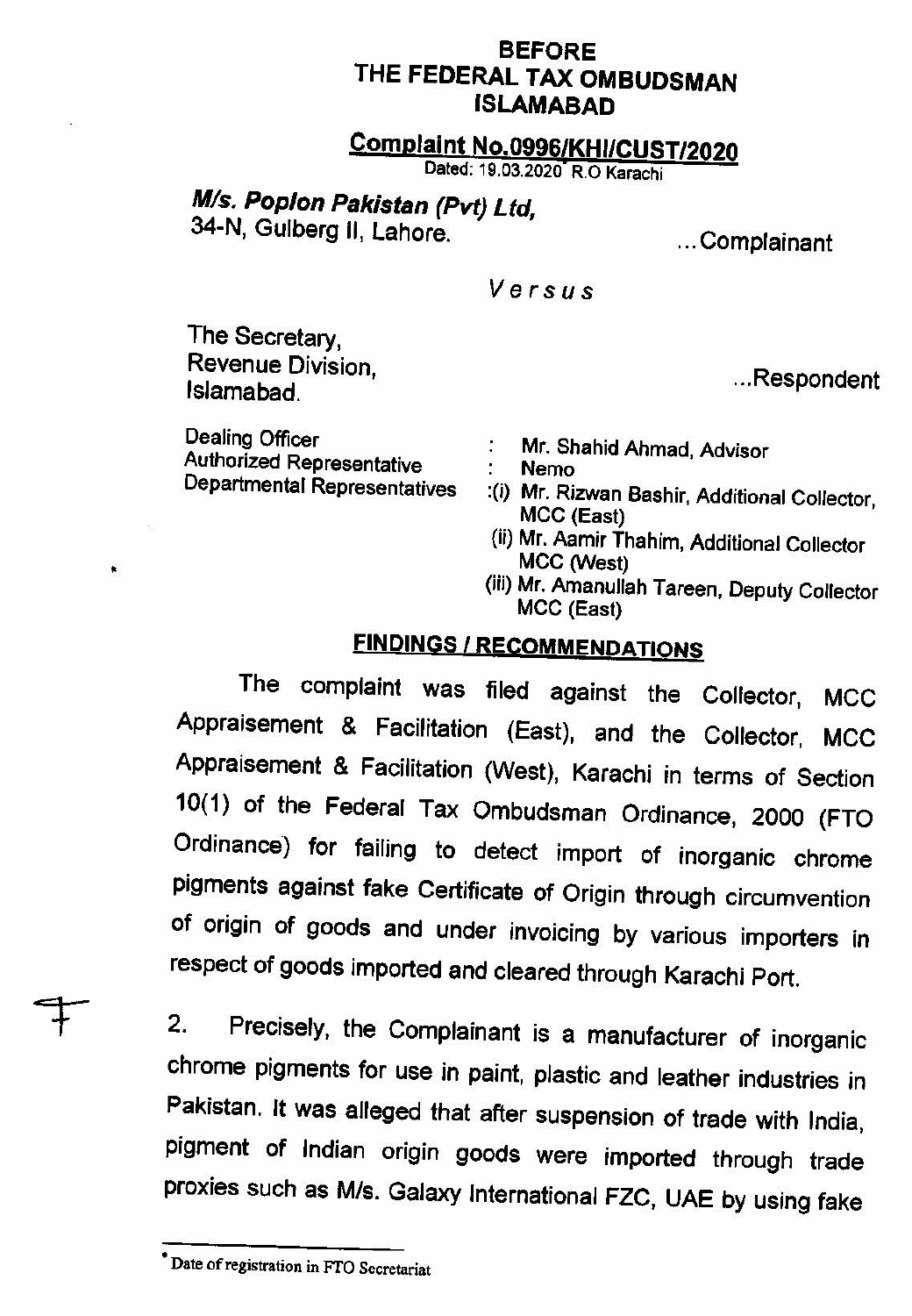#### **BEFORE THE FEDERAL TAX OMBUDSMAN ISLAMABAD**

## **Complaint No.0996/KH1/C05T12020**

Dated: 19.03.2020 R.O Karachi

# **MIs. Pop/on Pakistan (Pvt) Ltd,**

34-N, Gulberg U, Lahore. ... Complainant

#### Versus

The Secretary, Revenue Division,

Dealing Officer : Mr. Shahid Ahmad, Advisor<br>Authorized Representative : Nemo<br>Departmental Representatives : (i) Mr. Rizwan Rashir, Addition

- ...Respondent
- 
- :(i) Mr. Rizwan Bashir, Additional Collector, MCC (East)
- (if) Mr. Aamjr Thahjm, Additional Collector MCC (West)
- (iii) Mr. Amanullah Tareen, Deputy Collector MCC (East)

### **FINDINGS** / **RECOMMENDATIONS**

The complaint was filed against the Collector, MCC Appraisement & Facilitation (East), and the Collector, MCC Appraisement & Facilitation (West), Karachi in terms of Section 10(1) of the Federal Tax Ombudsman Ordinance, 2000 (FTO Ordinance) for failing to detect import of inorganic chrome Pigments against fake Certificate of Origin through circumvention of origin of goods and under invoicing by various importers in respect of goods imported and cleared through Karachi Port.

2. Precisely, the Complainant is a manufacturer of inorganic chrome pigments for use in paint, plastic and leather industries in Pakistan. It was alleged that after suspension of trade with India, pigment of Indian origin goods were imported through trade proxies such as M/s. Galaxy International FZC, UAE by using fake

Date of registration in FTO Secretariat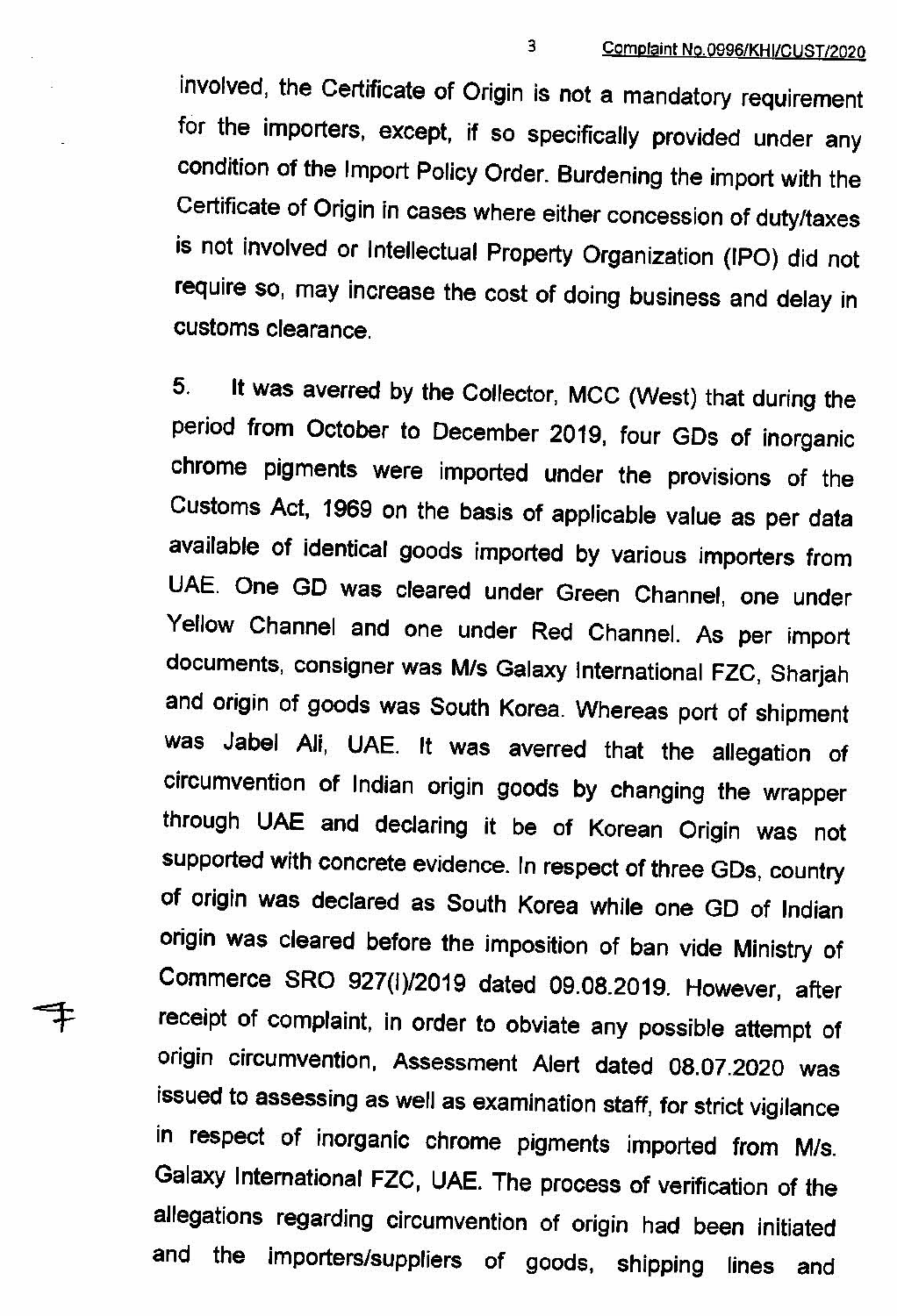involved, the Certificate of Origin is not a mandatory requirement for the importers, except, if **SO** specifically provided under any condition of the Import Policy Order. Burdening the import with the Certificate of Origin in cases where either concession of duty/taxes is not involved or Intellectual Property Organization (IPO) did not require so, may increase the cost of doing business and delay in customs clearance.

**5. It was** averred by the Collector, MCC (West) that during the period from October to December 2019, four GDs of inorganic chrome pigments were imported under the provisions of the Customs Act, 1969 on the basis of applicable value as per data available of identical goods imported by various importers from UAE. One GD was cleared under Green Channel, one under Yellow Channel and one under Red Channel. As per import documents, consigner was M/s Galaxy International FZC, Sharjah and origin of goods was South Korea. Whereas port of shipment was Jabel Ali, UAE. It was averred that the allegation of circumvention of Indian origin goods by changing the wrapper through UAE and declaring it be of Korean Origin was not supported with concrete evidence. In respect of three GDs, country of origin was declared as South Korea while one GD of Indian origin was cleared before the imposition of ban vide Ministry of Commerce SRO 927(1)/2019 dated 09.08.2019. However, after receipt of complaint, in order to obviate any possible attempt of origin circumvention, Assessment Alert dated 08.07.2020 was issued to assessing as well as examination staff, for strict vigilance in respect of inorganic chrome pigments imported from M/s. Galaxy International FZC, UAE. The process of verification of the allegations regarding circumvention of origin had been initiated and the importers/suppliers of goods, shipping lines and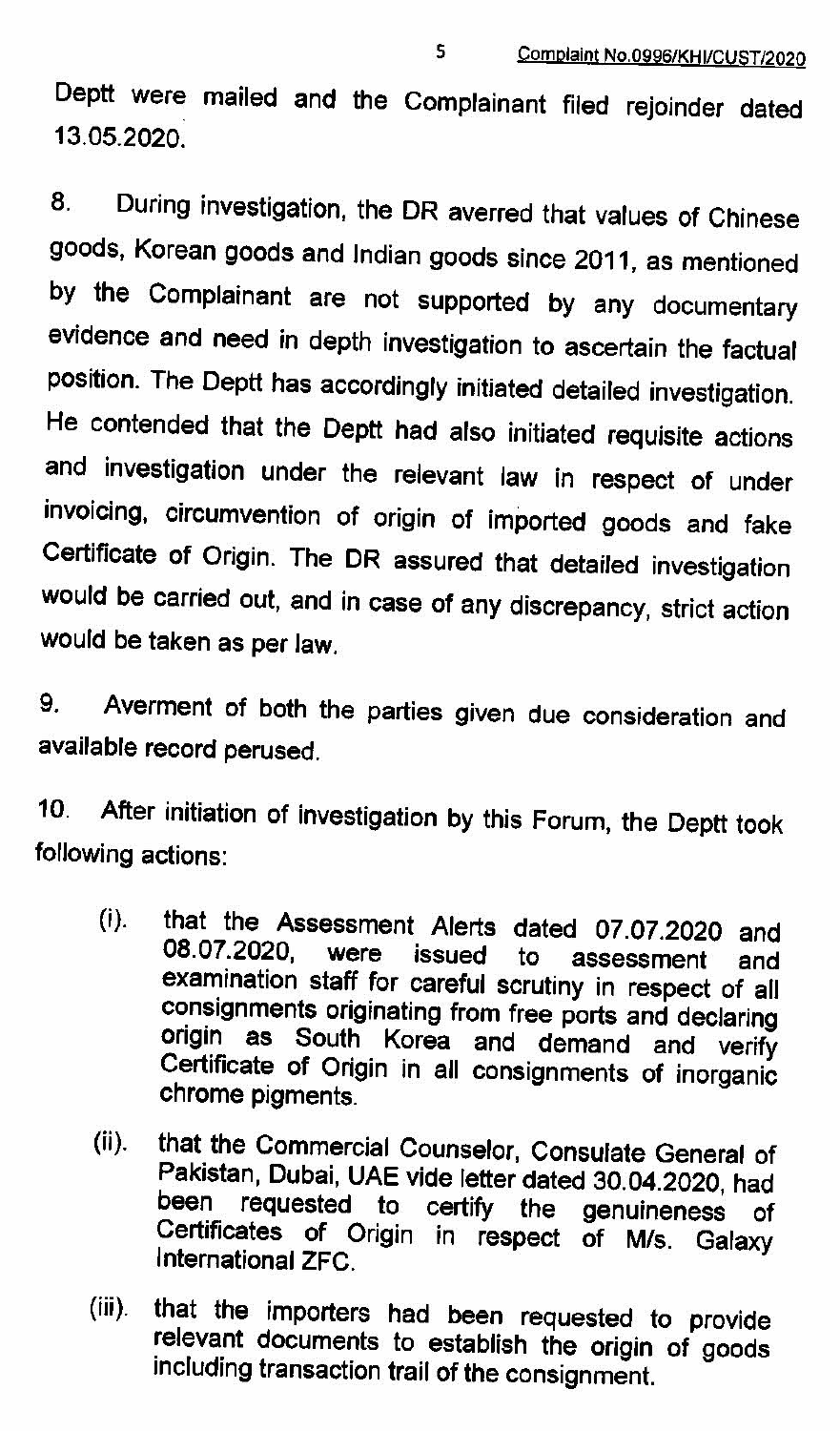Deptt were mailed and the Complainant filed rejoinder dated 13.05.2020.

8. During investigation, the DR averred that values of Chinese goods, Korean goods and Indian goods since 2011, as mentioned by the Complainant are not supported by any documentary evidence and need in depth investigation to ascertain the factual position. The Deptt has accordingly initiated detailed investigation. He contended that the Deptt had also initiated requisite actions and investigation under the relevant law in respect of under invoicing, circumvention of origin of imported goods and fake Certificate of Origin. The DR assured that detailed investigation would be carried out, and in case of any discrepancy, strict action would be taken as per law.

9. Averment of both the parties given due consideration and available record perused.

10. After initiation of investigation by this Forum, the Deptt took following actions:

- (i). that the Assessment Alerts dated 07.07.2020 and 08.07.2020, were issued to assessment and examination staff for careful scrutiny in respect of all consignments originating from free ports and declaring origin as South Korea and demand and verify Certificate of Ongin in all consignments of inorganic chrome pigments.
- $(ii).$ that the Commercial Counselor, Consulate General of Pakistan, Dubai, UAE vide letter dated 30.04.2020, had been requested to certify the genuineness of Certificates of Origin in respect of M/s. Galaxy<br>International ZFC.
- that the importers had been requested to provide  $(iii)$ . relevant documents to establish the origin of goods including transaction trail of the consignment.